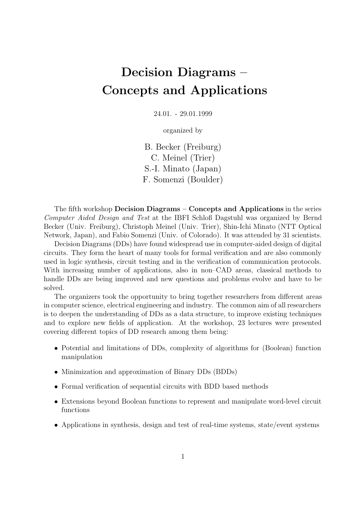# Decision Diagrams – Concepts and Applications

24.01. - 29.01.1999

organized by

B. Becker (Freiburg) C. Meinel (Trier) S.-I. Minato (Japan) F. Somenzi (Boulder)

The fifth workshop Decision Diagrams – Concepts and Applications in the series Computer Aided Design and Test at the IBFI Schloß Dagstuhl was organized by Bernd Becker (Univ. Freiburg), Christoph Meinel (Univ. Trier), Shin-Ichi Minato (NTT Optical Network, Japan), and Fabio Somenzi (Univ. of Colorado). It was attended by 31 scientists.

Decision Diagrams (DDs) have found widespread use in computer-aided design of digital circuits. They form the heart of many tools for formal verification and are also commonly used in logic synthesis, circuit testing and in the verification of communication protocols. With increasing number of applications, also in non–CAD areas, classical methods to handle DDs are being improved and new questions and problems evolve and have to be solved.

The organizers took the opportunity to bring together researchers from different areas in computer science, electrical engineering and industry. The common aim of all researchers is to deepen the understanding of DDs as a data structure, to improve existing techniques and to explore new fields of application. At the workshop, 23 lectures were presented covering different topics of DD research among them being:

- Potential and limitations of DDs, complexity of algorithms for (Boolean) function manipulation
- Minimization and approximation of Binary DDs (BDDs)
- Formal verification of sequential circuits with BDD based methods
- Extensions beyond Boolean functions to represent and manipulate word-level circuit functions
- Applications in synthesis, design and test of real-time systems, state/event systems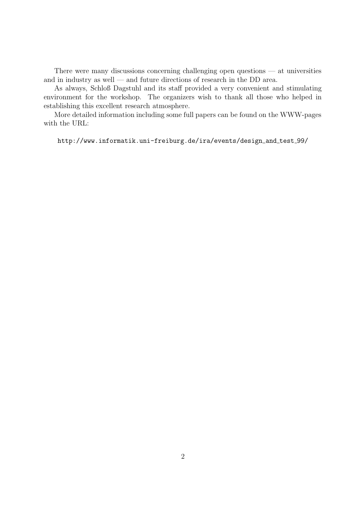There were many discussions concerning challenging open questions — at universities and in industry as well — and future directions of research in the DD area.

As always, Schloß Dagstuhl and its staff provided a very convenient and stimulating environment for the workshop. The organizers wish to thank all those who helped in establishing this excellent research atmosphere.

More detailed information including some full papers can be found on the WWW-pages with the URL:

http://www.informatik.uni-freiburg.de/ira/events/design and test 99/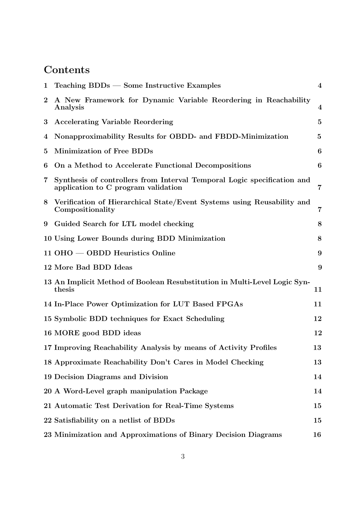## **Contents**

| $\mathbf{1}$ | $Teaching BDDs$ – Some Instructive Examples                                                                    | $\overline{\mathbf{4}}$ |
|--------------|----------------------------------------------------------------------------------------------------------------|-------------------------|
| $\bf{2}$     | A New Framework for Dynamic Variable Reordering in Reachability<br>Analysis                                    | $\overline{4}$          |
| $\bf{3}$     | <b>Accelerating Variable Reordering</b>                                                                        | 5                       |
| 4            | Nonapproximability Results for OBDD- and FBDD-Minimization                                                     | $\mathbf{5}$            |
| 5            | <b>Minimization of Free BDDs</b>                                                                               | 6                       |
| 6            | On a Method to Accelerate Functional Decompositions                                                            | 6                       |
| 7            | Synthesis of controllers from Interval Temporal Logic specification and<br>application to C program validation | 7                       |
| 8            | Verification of Hierarchical State/Event Systems using Reusability and<br>Compositionality                     | $\overline{7}$          |
| 9            | Guided Search for LTL model checking                                                                           | 8                       |
|              | 10 Using Lower Bounds during BDD Minimization                                                                  | 8                       |
|              | $11$ OHO $-$ OBDD Heuristics Online                                                                            | 9                       |
|              | 12 More Bad BDD Ideas                                                                                          | 9                       |
|              | 13 An Implicit Method of Boolean Resubstitution in Multi-Level Logic Syn-<br>thesis                            | 11                      |
|              | 14 In-Place Power Optimization for LUT Based FPGAs                                                             | 11                      |
|              | 15 Symbolic BDD techniques for Exact Scheduling                                                                | 12                      |
|              | 16 MORE good BDD ideas                                                                                         | 12                      |
|              | 17 Improving Reachability Analysis by means of Activity Profiles                                               | 13                      |
|              | 18 Approximate Reachability Don't Cares in Model Checking                                                      | 13                      |
|              | 19 Decision Diagrams and Division                                                                              | 14                      |
|              | 20 A Word-Level graph manipulation Package                                                                     | 14                      |
|              | 21 Automatic Test Derivation for Real-Time Systems                                                             | 15                      |
|              | 22 Satisfiability on a netlist of BDDs                                                                         | 15                      |
|              | 23 Minimization and Approximations of Binary Decision Diagrams                                                 | 16                      |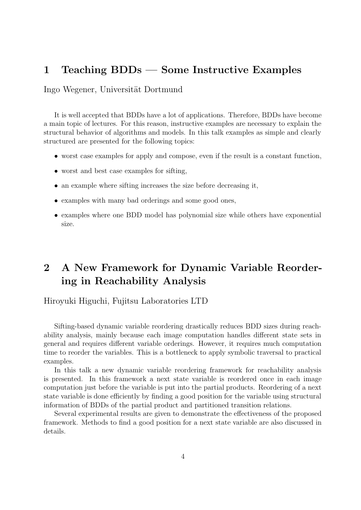#### 1 Teaching BDDs — Some Instructive Examples

Ingo Wegener, Universität Dortmund

It is well accepted that BDDs have a lot of applications. Therefore, BDDs have become a main topic of lectures. For this reason, instructive examples are necessary to explain the structural behavior of algorithms and models. In this talk examples as simple and clearly structured are presented for the following topics:

- worst case examples for apply and compose, even if the result is a constant function,
- worst and best case examples for sifting,
- an example where sifting increases the size before decreasing it,
- examples with many bad orderings and some good ones,
- examples where one BDD model has polynomial size while others have exponential size.

## 2 A New Framework for Dynamic Variable Reordering in Reachability Analysis

Hiroyuki Higuchi, Fujitsu Laboratories LTD

Sifting-based dynamic variable reordering drastically reduces BDD sizes during reachability analysis, mainly because each image computation handles different state sets in general and requires different variable orderings. However, it requires much computation time to reorder the variables. This is a bottleneck to apply symbolic traversal to practical examples.

In this talk a new dynamic variable reordering framework for reachability analysis is presented. In this framework a next state variable is reordered once in each image computation just before the variable is put into the partial products. Reordering of a next state variable is done efficiently by finding a good position for the variable using structural information of BDDs of the partial product and partitioned transition relations.

Several experimental results are given to demonstrate the effectiveness of the proposed framework. Methods to find a good position for a next state variable are also discussed in details.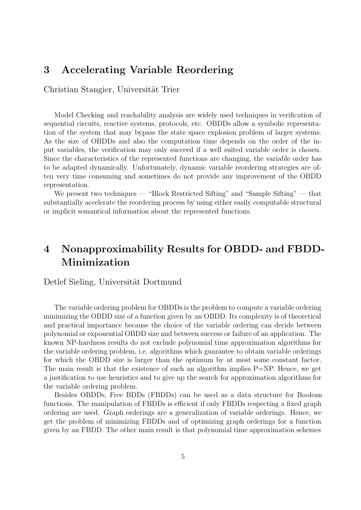#### 3 Accelerating Variable Reordering

Christian Stangier, Universität Trier

Model Checking and reachability analysis are widely used techniques in verification of sequential circuits, reactive systems, protocols, etc. OBDDs allow a symbolic representation of the system that may bypass the state space explosion problem of larger systems. As the size of OBDDs and also the computation time depends on the order of the input variables, the verification may only succeed if a well suited variable order is chosen. Since the characteristics of the represented functions are changing, the variable order has to be adapted dynamically. Unfortunately, dynamic variable reordering strategies are often very time consuming and sometimes do not provide any improvement of the OBDD representation.

We present two techniques — "Block Restricted Sifting" and "Sample Sifting" — that substantially accelerate the reordering process by using either easily computable structural or implicit semantical information about the represented functions.

## 4 Nonapproximability Results for OBDD- and FBDD-Minimization

#### Detlef Sieling, Universität Dortmund

The variable ordering problem for OBDDs is the problem to compute a variable ordering minimizing the OBDD size of a function given by an OBDD. Its complexity is of theoretical and practical importance because the choice of the variable ordering can decide between polynomial or exponential OBDD size and between success or failure of an application. The known NP-hardness results do not exclude polynomial time approximation algorithms for the variable ordering problem, i.e. algorithms which guarantee to obtain variable orderings for which the OBDD size is larger than the optimum by at most some constant factor. The main result is that the existence of such an algorithm implies  $P=NP$ . Hence, we get a justification to use heuristics and to give up the search for approximation algorithms for the variable ordering problem.

Besides OBDDs, Free BDDs (FBDDs) can be used as a data structure for Boolean functions. The manipulation of FBDDs is efficient if only FBDDs respecting a fixed graph ordering are used. Graph orderings are a generalization of variable orderings. Hence, we get the problem of minimizing FBDDs and of optimizing graph orderings for a function given by an FBDD. The other main result is that polynomial time approximation schemes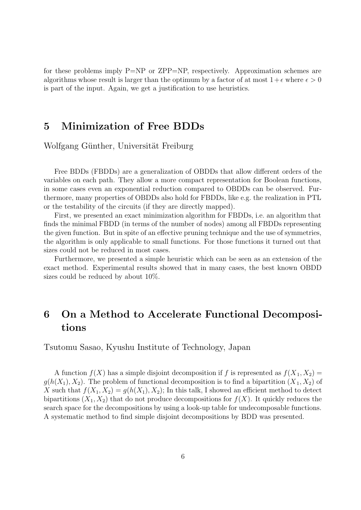for these problems imply P=NP or ZPP=NP, respectively. Approximation schemes are algorithms whose result is larger than the optimum by a factor of at most  $1+\epsilon$  where  $\epsilon > 0$ is part of the input. Again, we get a justification to use heuristics.

### 5 Minimization of Free BDDs

Wolfgang Günther, Universität Freiburg

Free BDDs (FBDDs) are a generalization of OBDDs that allow different orders of the variables on each path. They allow a more compact representation for Boolean functions, in some cases even an exponential reduction compared to OBDDs can be observed. Furthermore, many properties of OBDDs also hold for FBDDs, like e.g. the realization in PTL or the testability of the circuits (if they are directly mapped).

First, we presented an exact minimization algorithm for FBDDs, i.e. an algorithm that finds the minimal FBDD (in terms of the number of nodes) among all FBDDs representing the given function. But in spite of an effective pruning technique and the use of symmetries, the algorithm is only applicable to small functions. For those functions it turned out that sizes could not be reduced in most cases.

Furthermore, we presented a simple heuristic which can be seen as an extension of the exact method. Experimental results showed that in many cases, the best known OBDD sizes could be reduced by about 10%.

## 6 On a Method to Accelerate Functional Decompositions

Tsutomu Sasao, Kyushu Institute of Technology, Japan

A function  $f(X)$  has a simple disjoint decomposition if f is represented as  $f(X_1, X_2) =$  $g(h(X_1), X_2)$ . The problem of functional decomposition is to find a bipartition  $(X_1, X_2)$  of X such that  $f(X_1, X_2) = g(h(X_1), X_2)$ ; In this talk, I showed an efficient method to detect bipartitions  $(X_1, X_2)$  that do not produce decompositions for  $f(X)$ . It quickly reduces the search space for the decompositions by using a look-up table for undecomposable functions. A systematic method to find simple disjoint decompositions by BDD was presented.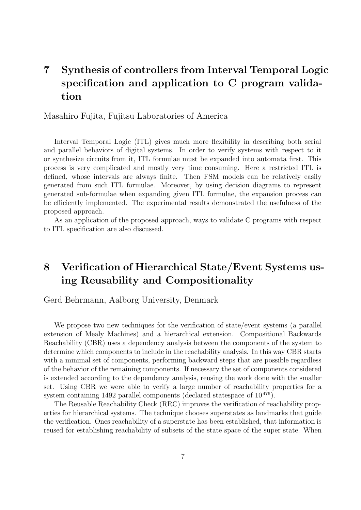## 7 Synthesis of controllers from Interval Temporal Logic specification and application to C program validation

Masahiro Fujita, Fujitsu Laboratories of America

Interval Temporal Logic (ITL) gives much more flexibility in describing both serial and parallel behaviors of digital systems. In order to verify systems with respect to it or synthesize circuits from it, ITL formulae must be expanded into automata first. This process is very complicated and mostly very time consuming. Here a restricted ITL is defined, whose intervals are always finite. Then FSM models can be relatively easily generated from such ITL formulae. Moreover, by using decision diagrams to represent generated sub-formulae when expanding given ITL formulae, the expansion process can be efficiently implemented. The experimental results demonstrated the usefulness of the proposed approach.

As an application of the proposed approach, ways to validate C programs with respect to ITL specification are also discussed.

## 8 Verification of Hierarchical State/Event Systems using Reusability and Compositionality

Gerd Behrmann, Aalborg University, Denmark

We propose two new techniques for the verification of state/event systems (a parallel extension of Mealy Machines) and a hierarchical extension. Compositional Backwards Reachability (CBR) uses a dependency analysis between the components of the system to determine which components to include in the reachability analysis. In this way CBR starts with a minimal set of components, performing backward steps that are possible regardless of the behavior of the remaining components. If necessary the set of components considered is extended according to the dependency analysis, reusing the work done with the smaller set. Using CBR we were able to verify a large number of reachability properties for a system containing 1492 parallel components (declared statespace of  $10^{476}$ ).

The Reusable Reachability Check (RRC) improves the verification of reachability properties for hierarchical systems. The technique chooses superstates as landmarks that guide the verification. Ones reachability of a superstate has been established, that information is reused for establishing reachability of subsets of the state space of the super state. When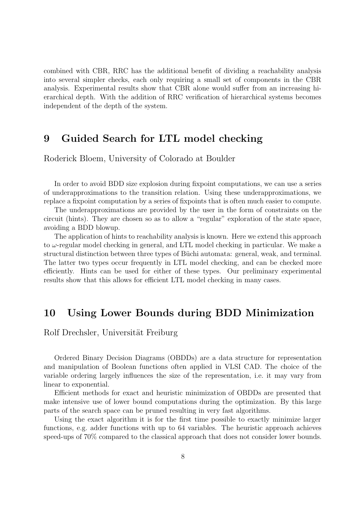combined with CBR, RRC has the additional benefit of dividing a reachability analysis into several simpler checks, each only requiring a small set of components in the CBR analysis. Experimental results show that CBR alone would suffer from an increasing hierarchical depth. With the addition of RRC verification of hierarchical systems becomes independent of the depth of the system.

#### 9 Guided Search for LTL model checking

Roderick Bloem, University of Colorado at Boulder

In order to avoid BDD size explosion during fixpoint computations, we can use a series of underapproximations to the transition relation. Using these underapproximations, we replace a fixpoint computation by a series of fixpoints that is often much easier to compute.

The underapproximations are provided by the user in the form of constraints on the circuit (hints). They are chosen so as to allow a "regular" exploration of the state space, avoiding a BDD blowup.

The application of hints to reachability analysis is known. Here we extend this approach to  $\omega$ -regular model checking in general, and LTL model checking in particular. We make a structural distinction between three types of Büchi automata: general, weak, and terminal. The latter two types occur frequently in LTL model checking, and can be checked more efficiently. Hints can be used for either of these types. Our preliminary experimental results show that this allows for efficient LTL model checking in many cases.

#### 10 Using Lower Bounds during BDD Minimization

Rolf Drechsler, Universität Freiburg

Ordered Binary Decision Diagrams (OBDDs) are a data structure for representation and manipulation of Boolean functions often applied in VLSI CAD. The choice of the variable ordering largely influences the size of the representation, i.e. it may vary from linear to exponential.

Efficient methods for exact and heuristic minimization of OBDDs are presented that make intensive use of lower bound computations during the optimization. By this large parts of the search space can be pruned resulting in very fast algorithms.

Using the exact algorithm it is for the first time possible to exactly minimize larger functions, e.g. adder functions with up to 64 variables. The heuristic approach achieves speed-ups of 70% compared to the classical approach that does not consider lower bounds.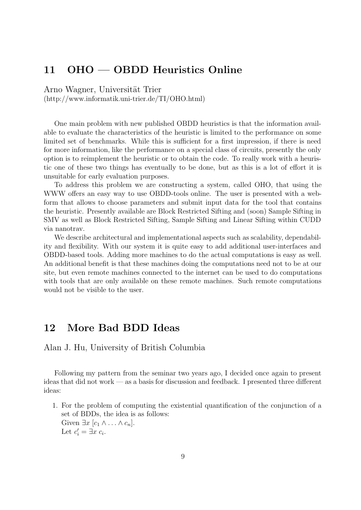### 11 OHO — OBDD Heuristics Online

Arno Wagner, Universität Trier

(http://www.informatik.uni-trier.de/TI/OHO.html)

One main problem with new published OBDD heuristics is that the information available to evaluate the characteristics of the heuristic is limited to the performance on some limited set of benchmarks. While this is sufficient for a first impression, if there is need for more information, like the performance on a special class of circuits, presently the only option is to reimplement the heuristic or to obtain the code. To really work with a heuristic one of these two things has eventually to be done, but as this is a lot of effort it is unsuitable for early evaluation purposes.

To address this problem we are constructing a system, called OHO, that using the WWW offers an easy way to use OBDD-tools online. The user is presented with a webform that allows to choose parameters and submit input data for the tool that contains the heuristic. Presently available are Block Restricted Sifting and (soon) Sample Sifting in SMV as well as Block Restricted Sifting, Sample Sifting and Linear Sifting within CUDD via nanotrav.

We describe architectural and implementational aspects such as scalability, dependability and flexibility. With our system it is quite easy to add additional user-interfaces and OBDD-based tools. Adding more machines to do the actual computations is easy as well. An additional benefit is that these machines doing the computations need not to be at our site, but even remote machines connected to the internet can be used to do computations with tools that are only available on these remote machines. Such remote computations would not be visible to the user.

#### 12 More Bad BDD Ideas

Alan J. Hu, University of British Columbia

Following my pattern from the seminar two years ago, I decided once again to present ideas that did not work — as a basis for discussion and feedback. I presented three different ideas:

1. For the problem of computing the existential quantification of the conjunction of a set of BDDs, the idea is as follows: Given  $\exists x [c_1 \wedge \ldots \wedge c_n].$ 

Let  $c_i' = \exists x \ c_i$ .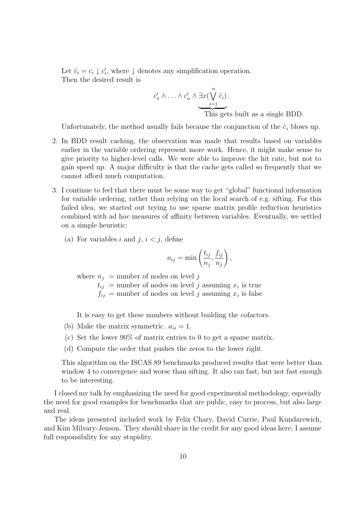Let  $\hat{c}_i = c_i \downarrow c'_i$  $\mathbf{y}'_i$ , where  $\downarrow$  denotes any simplification operation. Then the desired result is

$$
c'_1 \wedge \ldots \wedge c'_n \wedge \exists x (\bigvee_{i=1}^n \hat{c}_i).
$$
  
This gets built as a single BDD.

Unfortunately, the method usually fails because the conjunction of the  $\hat{c}_i$  blows up.

- 2. In BDD result caching, the observation was made that results based on variables earlier in the variable ordering represent more work. Hence, it might make sense to give priority to higher-level calls. We were able to improve the hit rate, but not to gain speed up. A major difficulty is that the cache gets called so frequently that we cannot afford much computation.
- 3. I continue to feel that there must be some way to get "global" functional information for variable ordering, rather than relying on the local search of e.g. sifting. For this failed idea, we started out trying to use sparse matrix profile reduction heuristics combined with ad hoc measures of affinity between variables. Eventually, we settled on a simple heuristic:
	- (a) For variables i and j,  $i < j$ , define

$$
a_{ij} = \min\left(\frac{t_{ij}}{n_j}, \frac{f_{ij}}{n_j}\right),\,
$$

where  $n_j$  = number of nodes on level j

 $t_{ij}$  = number of nodes on level j assuming  $x_i$  is true

 $f_{ij}$  = number of nodes on level j assuming  $x_i$  is false

It is easy to get these numbers without building the cofactors.

- (b) Make the matrix symmetric.  $a_{ii} = 1$ .
- (c) Set the lower 90% of matrix entries to 0 to get a sparse matrix.
- (d) Compute the order that pushes the zeros to the lower right.

This algorithm on the ISCAS 89 benchmarks produced results that were better than window 4 to convergence and worse than sifting. It also ran fast, but not fast enough to be interesting.

I closed my talk by emphasizing the need for good experimental methodology, especially the need for good examples for benchmarks that are public, easy to process, but also large and real.

The ideas presented included work by Felix Chary, David Currie, Paul Kundarewich, and Kim Milvary-Jenson. They should share in the credit for any good ideas here; I assume full responsibility for any stupidity.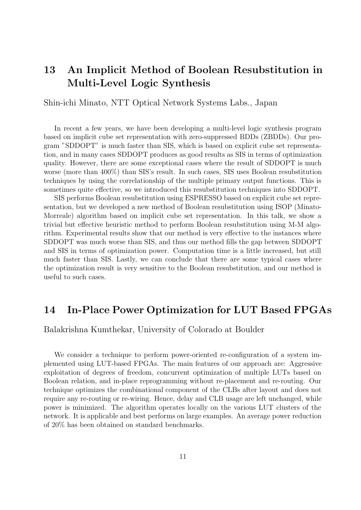## 13 An Implicit Method of Boolean Resubstitution in Multi-Level Logic Synthesis

Shin-ichi Minato, NTT Optical Network Systems Labs., Japan

In recent a few years, we have been developing a multi-level logic synthesis program based on implicit cube set representation with zero-suppressed BDDs (ZBDDs). Our program "SDDOPT" is much faster than SIS, which is based on explicit cube set representation, and in many cases SDDOPT produces as good results as SIS in terms of optimization quality. However, there are some exceptional cases where the result of SDDOPT is much worse (more than 400%) than SIS's result. In such cases, SIS uses Boolean resubstitution techniques by using the correlationship of the multiple primary output functions. This is sometimes quite effective, so we introduced this resubstitution techniques into SDDOPT.

SIS performs Boolean resubstitution using ESPRESSO based on explicit cube set representation, but we developed a new method of Boolean resubstitution using ISOP (Minato-Morreale) algorithm based on implicit cube set representation. In this talk, we show a trivial but effective heuristic method to perform Boolean resubstitution using M-M algorithm. Experimental results show that our method is very effective to the instances where SDDOPT was much worse than SIS, and thus our method fills the gap between SDDOPT and SIS in terms of optimization power. Computation time is a little increased, but still much faster than SIS. Lastly, we can conclude that there are some typical cases where the optimization result is very sensitive to the Boolean resubstitution, and our method is useful to such cases.

#### 14 In-Place Power Optimization for LUT Based FPGAs

Balakrishna Kumthekar, University of Colorado at Boulder

We consider a technique to perform power-oriented re-configuration of a system implemented using LUT-based FPGAs. The main features of our approach are: Aggressive exploitation of degrees of freedom, concurrent optimization of multiple LUTs based on Boolean relation, and in-place reprogramming without re-placement and re-routing. Our technique optimizes the combinational component of the CLBs after layout and does not require any re-routing or re-wiring. Hence, delay and CLB usage are left unchanged, while power is minimized. The algorithm operates locally on the various LUT clusters of the network. It is applicable and best performs on large examples. An average power reduction of 20% has been obtained on standard benchmarks.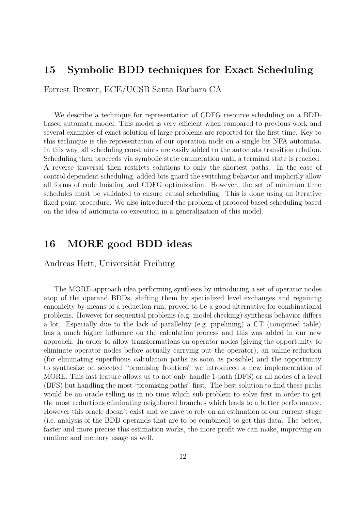#### 15 Symbolic BDD techniques for Exact Scheduling

Forrest Brewer, ECE/UCSB Santa Barbara CA

We describe a technique for representation of CDFG resource scheduling on a BDDbased automata model. This model is very efficient when compared to previous work and several examples of exact solution of large problems are reported for the first time. Key to this technique is the representation of our operation node on a single bit NFA automata. In this way, all scheduling constraints are easily added to the automata transition relation. Scheduling then proceeds via symbolic state enumeration until a terminal state is reached. A reverse traversal then restricts solutions to only the shortest paths. In the case of control dependent scheduling, added bits guard the switching behavior and implicitly allow all forms of code hoisting and CDFG optimization. However, the set of minimum time schedules must be validated to ensure causal scheduling. This is done using an iterative fixed point procedure. We also introduced the problem of protocol based scheduling based on the idea of automata co-execution in a generalization of this model.

#### 16 MORE good BDD ideas

Andreas Hett, Universität Freiburg

The MORE-approach idea performing synthesis by introducing a set of operator nodes atop of the operand BDDs, shifting them by specialized level exchanges and regaining canonicity by means of a reduction run, proved to be a good alternative for combinational problems. However for sequential problems (e.g. model checking) synthesis behavior differs a lot. Especially due to the lack of parallelity (e.g. pipelining) a CT (computed table) has a much higher influence on the calculation process and this was added in our new approach. In order to allow transformations on operator nodes (giving the opportunity to eliminate operator nodes before actually carrying out the operator), an online-reduction (for eliminating superfluous calculation paths as soon as possible) and the opportunity to synthesize on selected "promising frontiers" we introduced a new implementation of MORE. This last feature allows us to not only handle 1-path (DFS) or all nodes of a level (BFS) but handling the most "promising paths" first. The best solution to find these paths would be an oracle telling us in no time which sub-problem to solve first in order to get the most reductions eliminating neighbored branches which leads to a better performance. However this oracle doesn't exist and we have to rely on an estimation of our current stage (i.e. analysis of the BDD operands that are to be combined) to get this data. The better, faster and more precise this estimation works, the more profit we can make, improving on runtime and memory usage as well.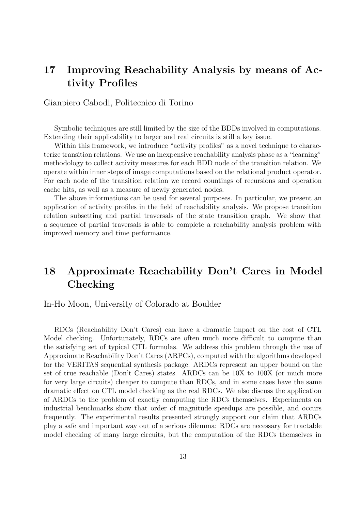## 17 Improving Reachability Analysis by means of Activity Profiles

Gianpiero Cabodi, Politecnico di Torino

Symbolic techniques are still limited by the size of the BDDs involved in computations. Extending their applicability to larger and real circuits is still a key issue.

Within this framework, we introduce "activity profiles" as a novel technique to characterize transition relations. We use an inexpensive reachability analysis phase as a "learning" methodology to collect activity measures for each BDD node of the transition relation. We operate within inner steps of image computations based on the relational product operator. For each node of the transition relation we record countings of recursions and operation cache hits, as well as a measure of newly generated nodes.

The above informations can be used for several purposes. In particular, we present an application of activity profiles in the field of reachability analysis. We propose transition relation subsetting and partial traversals of the state transition graph. We show that a sequence of partial traversals is able to complete a reachability analysis problem with improved memory and time performance.

## 18 Approximate Reachability Don't Cares in Model Checking

In-Ho Moon, University of Colorado at Boulder

RDCs (Reachability Don't Cares) can have a dramatic impact on the cost of CTL Model checking. Unfortunately, RDCs are often much more difficult to compute than the satisfying set of typical CTL formulas. We address this problem through the use of Approximate Reachability Don't Cares (ARPCs), computed with the algorithms developed for the VERITAS sequential synthesis package. ARDCs represent an upper bound on the set of true reachable (Don't Cares) states. ARDCs can be 10X to 100X (or much more for very large circuits) cheaper to compute than RDCs, and in some cases have the same dramatic effect on CTL model checking as the real RDCs. We also discuss the application of ARDCs to the problem of exactly computing the RDCs themselves. Experiments on industrial benchmarks show that order of magnitude speedups are possible, and occurs frequently. The experimental results presented strongly support our claim that ARDCs play a safe and important way out of a serious dilemma: RDCs are necessary for tractable model checking of many large circuits, but the computation of the RDCs themselves in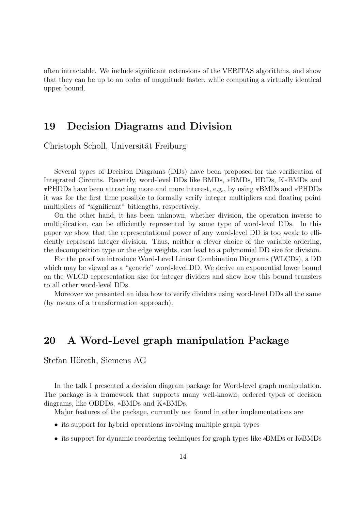often intractable. We include significant extensions of the VERITAS algorithms, and show that they can be up to an order of magnitude faster, while computing a virtually identical upper bound.

#### 19 Decision Diagrams and Division

Christoph Scholl, Universität Freiburg

Several types of Decision Diagrams (DDs) have been proposed for the verification of Integrated Circuits. Recently, word-level DDs like BMDs, ∗BMDs, HDDs, K∗BMDs and ∗PHDDs have been attracting more and more interest, e.g., by using ∗BMDs and ∗PHDDs it was for the first time possible to formally verify integer multipliers and floating point multipliers of "significant" bitlengths, respectively.

On the other hand, it has been unknown, whether division, the operation inverse to multiplication, can be efficiently represented by some type of word-level DDs. In this paper we show that the representational power of any word-level DD is too weak to efficiently represent integer division. Thus, neither a clever choice of the variable ordering, the decomposition type or the edge weights, can lead to a polynomial DD size for division.

For the proof we introduce Word-Level Linear Combination Diagrams (WLCDs), a DD which may be viewed as a "generic" word-level DD. We derive an exponential lower bound on the WLCD representation size for integer dividers and show how this bound transfers to all other word-level DDs.

Moreover we presented an idea how to verify dividers using word-level DDs all the same (by means of a transformation approach).

### 20 A Word-Level graph manipulation Package

Stefan Höreth, Siemens AG

In the talk I presented a decision diagram package for Word-level graph manipulation. The package is a framework that supports many well-known, ordered types of decision diagrams, like OBDDs, ∗BMDs and K∗BMDs.

Major features of the package, currently not found in other implementations are

- its support for hybrid operations involving multiple graph types
- its support for dynamic reordering techniques for graph types like ∗BMDs or K∗BMDs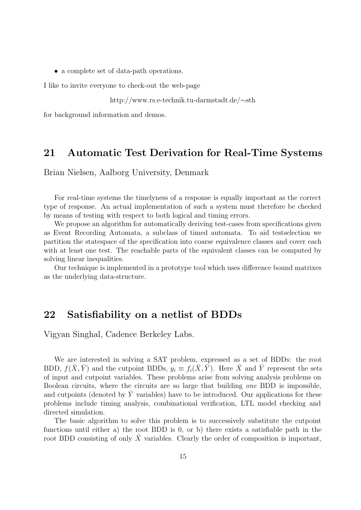• a complete set of data-path operations.

I like to invite everyone to check-out the web-page

http://www.rs.e-technik.tu-darmstadt.de/∼sth

for background information and demos.

#### 21 Automatic Test Derivation for Real-Time Systems

Brian Nielsen, Aalborg University, Denmark

For real-time systems the timelyness of a response is equally important as the correct type of response. An actual implementation of such a system must therefore be checked by means of testing with respect to both logical and timing errors.

We propose an algorithm for automatically deriving test-cases from specifications given as Event Recording Automata, a subclass of timed automata. To aid testselection we partition the statespace of the specification into coarse equivalence classes and cover each with at least one test. The reachable parts of the equivalent classes can be computed by solving linear inequalities.

Our technique is implemented in a prototype tool which uses difference bound matrixes as the underlying data-structure.

#### 22 Satisfiability on a netlist of BDDs

Vigyan Singhal, Cadence Berkeley Labs.

We are interested in solving a SAT problem, expressed as a set of BDDs: the root BDD,  $f(\bar{X}, \bar{Y})$  and the cutpoint BDDs,  $y_i \equiv f_i(\bar{X}, \bar{Y})$ . Here  $\bar{X}$  and  $\bar{Y}$  represent the sets of input and cutpoint variables. These problems arise from solving analysis problems on Boolean circuits, where the circuits are so large that building one BDD is impossible, and cutpoints (denoted by  $Y$  variables) have to be introduced. Our applications for these problems include timing analysis, combinational verification, LTL model checking and directed simulation.

The basic algorithm to solve this problem is to successively substitute the cutpoint functions until either a) the root BDD is 0, or b) there exists a satisfiable path in the root BDD consisting of only  $\bar{X}$  variables. Clearly the order of composition is important,